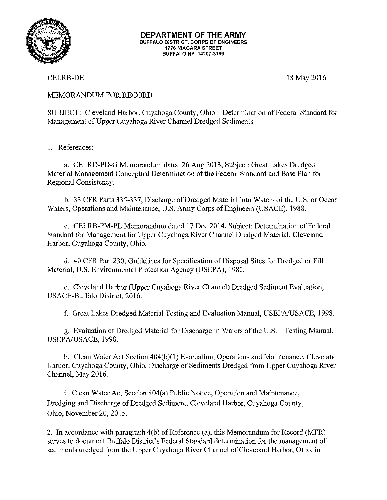

## **DEPARTMENT OF THE ARMY**  BUFFALO DISTRICT, CORPS OF ENGINEERS 1776 NIAGARA STREET BUFFALO NY 14207-3199

CELRB-DE

18 May 2016

## MEMORANDUM FOR RECORD

SUBJECT: Cleveland Harbor, Cuyahoga County, Ohio-Determination of Federal Standard for Management of Upper Cuyahoga River Channel Dredged Sediments

1. References:

a. CELRD-PD-G Memorandum dated 26 Aug 2013, Subject: Great Lakes Dredged Material Management Conceptual Determination of the Federal Standard and Base Plan for Regional Consistency.

b. 33 CFR Parts 335-337, Discharge of Dredged Material into Waters of the U.S. or Ocean Waters, Operations and Maintenance, U.S. Army Corps of Engineers (USACE), 1988.

c. CELRB-PM-PL Memorandum dated 17 Dec 2014, Subject: Determination of Federal Standard for Management for Upper Cuyahoga River Channel Dredged Material, Cleveland Harbor, Cuyahoga County, Ohio.

d. 40 CFR Part 230, Guidelines for Specification of Disposal Sites for Dredged or Fill Material, U.S. Environmental Protection Agency (USEPA), 1980.

e. Cleveland Harbor (Upper Cuyahoga River Channel) Dredged Sediment Evaluation, USACE-Buffalo District, 2016.

f. Great Lakes Dredged Material Testing and Evaluation Manual, USEP A/USACE, 1998.

g. Evaluation of Dredged Material for Discharge in Waters of the U.S.—Testing Manual, USEPA/USACE, 1998.

h. Clean Water Act Section 404(b)(1) Evaluation, Operations and Maintenance, Cleveland Harbor, Cuyahoga County, Ohio, Discharge of Sediments Dredged from Upper Cuyahoga River Channel, May 2016.

i. Clean Water Act Section 404(a) Public Notice, Operation and Maintenance, Dredging and Discharge of Dredged Sediment, Cleveland Harbor, Cuyahoga County, Ohio, November 20, 2015.

2. In accordance with paragraph 4(b) of Reference (a), this Memorandum for Record (MFR) serves to document Buffalo District's Federal Standard determination for the management of sediments dredged from the Upper Cuyahoga River Channel of Cleveland Harbor, Ohio, in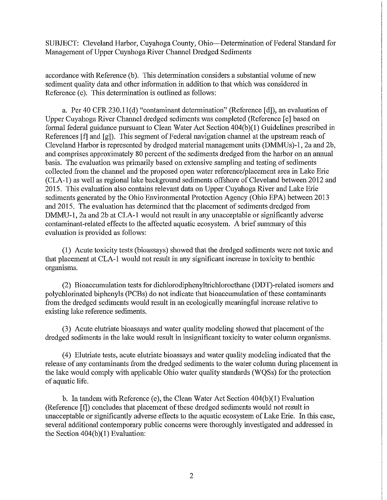SUBJECT: Cleveland Harbor, Cuyahoga County, Ohio-Determination of Federal Standard for Management of Upper Cuyahoga River Channel Dredged Sediments

accordance with Reference (b). This determination considers a substantial volume of new sediment quality data and other information in addition to that which was considered in Reference (c). This determination is outlined as follows:

a. Per 40 CFR 230.11(d) "contaminant determination" (Reference [d]), an evaluation of Upper Cuyahoga River Channel dredged sediments was completed (Reference [e] based on formal federal guidance pursuant to Clean Water Act Section  $404(b)(1)$  Guidelines prescribed in References [f] and  $[g]$ ]. This segment of Federal navigation channel at the upstream reach of Cleveland Harbor is represented by dredged material management units (DMMUs)-1, 2a and 2b, and comprises approximately 80 percent of the sediments dredged from the harbor on an annual basis. The evaluation was primarily based on extensive sampling and testing of sediments collected from the channel and the proposed open water reference/placement area in Lake Erie (CLA-1) as well as regional lake background sediments offshore of Cleveland between 2012 and 2015. This evaluation also contains relevant data on Upper Cuyahoga River and Lake Erie sediments generated by the Ohio Environmental Protection Agency (Ohio EPA) between 2013 and 2015. The evaluation has determined that the placement of sediments dredged from DMMU-1, 2a and 2b at CLA-1 would not result in any unacceptable or significantly adverse contaminant-related effects to the affected aquatic ecosystem. A brief summary of this evaluation is provided as follows:

(1) Acute toxicity tests (bioassays) showed that the dredged sediments were not toxic and that placement at CLA-1 would not result in any significant increase in toxicity to benthic organisms.

(2) Bioaccumulation tests for dichlorodiphenyltrichloroethane (DDT)-related isomers and polychlorinated biphenyls (PCBs) do not indicate that bioaccumulation of these contaminants from the dredged sediments would result in an ecologically meaningful increase relative to existing lake reference sediments.

(3) Acute elutriate bioassays and water quality modeling showed that placement of the dredged sediments in the lake would result in insignificant toxicity to water column organisms.

( 4) Elutriate tests, acute elutriate bioassays and water quality modeling indicated that the release of any contaminants from the dredged sediments to the water column during placement in the lake would comply with applicable Ohio water quality standards (WQSs) for the protection of aquatic life.

b. In tandem with Reference (e), the Clean Water Act Section 404(b)(l) Evaluation (Reference [f]) concludes that placement of these dredged sediments would not result in unacceptable or significantly adverse effects to the aquatic ecosystem of Lake Erie. In this case, several additional contemporary public concerns were thoroughly investigated and addressed in the Section  $404(b)(1)$  Evaluation: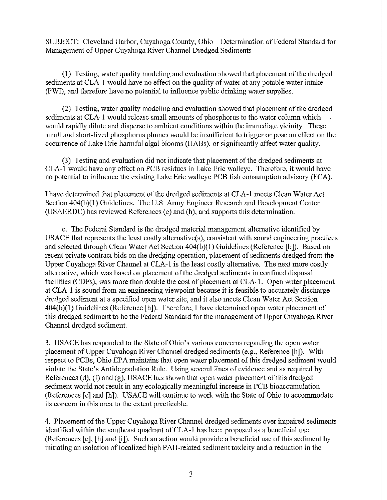SUBJECT: Cleveland Harbor, Cuyahoga County, Ohio-Determination of Federal Standard for Management of Upper Cuyahoga River Channel Dredged Sediments

(1) Testing, water quality modeling and evaluation showed that placement of the dredged sediments at CLA-1 would have no effect on the quality of water at any potable water intake (PWI), and therefore have no potential to influence public drinking water supplies.

(2) Testing, water quality modeling and evaluation showed that placement of the dredged sediments at CLA-1 would release small amounts of phosphorus to the water column which would rapidly dilute and disperse to ambient conditions within the immediate vicinity. These small and short-lived phosphorus plumes would be insufficient to trigger or pose an effect on the occnrrence of Lake Erie harmful algal blooms (HABs), or significantly affect water quality.

(3) Testing and evaluation did not indicate that placement of the dredged sediments at CLA-1 would have any effect on PCB residues in Lake Erie walleye. Therefore, it would have no potential to influence the existing Lake Erie walleye PCB fish consumption advisory (FCA).

I have determined that placement of the dredged sediments at CLA-1 meets Clean Water Act Section 404(b)(1) Guidelines. The U.S. Army Engineer Research and Development Center (USAERDC) has reviewed References (e) and (h), and supports this determination.

c. The Federal Standard is the dredged material management alternative identified by USACE that represents the least costly alternative(s), consistent with sound engineering practices and selected through Clean Water Act Section 404(b)(1) Guidelines (Reference [b]). Based on recent private contract bids on the dredging operation, placement of sediments dredged from the Upper Cuyahoga River Channel at CLA-1 is the least costly alternative. The next more costly alternative, which was based on placement of the dredged sediments in confined disposal facilities (CDFs), was more than double the cost of placement at CLA-1. Open water placement at CLA-1 is sound from an engineering viewpoint because it is feasible to accurately discharge dredged sediment at a specified open water site, and it also meets Clean Water Act Section 404(b)(l) Guidelines (Reference [h]). Therefore, I have determined open water placement of this dredged sediment to be the Federal Standard for the management of Upper Cuyahoga River Channel dredged sediment.

3. USACE has responded to the State of Ohio's various concerns regarding the open water placement of Upper Cuyahoga River Channel dredged sediments (e.g., Reference [h]). With respect to PCBs, Ohio EPA maintains that open water placement of this dredged sediment would violate the State's Antidegradation Rule. Using several lines of evidence and as required by References (d),  $(f)$  and  $(g)$ , USACE has shown that open water placement of this dredged sediment would not result in any ecologically meaningful increase in PCB bioaccumulation (References [e] and [h]). USACE will continue to work with the State of Ohio to accommodate its concern in this area to the extent practicable.

4. Placement of the Upper Cuyahoga River Channel dredged sediments over impaired sediments identified within the southeast quadrant of CLA-1 has been proposed as a beneficial use (References [e], [h] and [i]). Such an action would provide a beneficial use of this sediment by initiating an isolation of localized high PAR-related sediment toxicity and a reduction in the